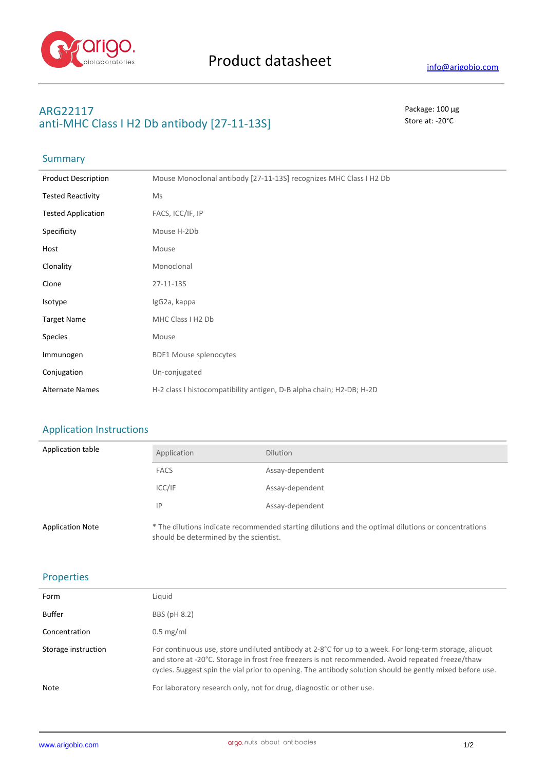

### **ARG22117** Package: 100 μg **anti-MHC Class I H2 Db antibody [27-11-13S]** Store at: -20<sup>°</sup>C

## Summary

| <b>Product Description</b> | Mouse Monoclonal antibody [27-11-13S] recognizes MHC Class I H2 Db   |
|----------------------------|----------------------------------------------------------------------|
| <b>Tested Reactivity</b>   | Ms                                                                   |
| <b>Tested Application</b>  | FACS, ICC/IF, IP                                                     |
| Specificity                | Mouse H-2Db                                                          |
| Host                       | Mouse                                                                |
| Clonality                  | Monoclonal                                                           |
| Clone                      | 27-11-13S                                                            |
| Isotype                    | IgG2a, kappa                                                         |
| <b>Target Name</b>         | MHC Class I H2 Db                                                    |
| <b>Species</b>             | Mouse                                                                |
| Immunogen                  | <b>BDF1 Mouse splenocytes</b>                                        |
| Conjugation                | Un-conjugated                                                        |
| <b>Alternate Names</b>     | H-2 class I histocompatibility antigen, D-B alpha chain; H2-DB; H-2D |

### Application Instructions

| Application table       | Application                            | <b>Dilution</b>                                                                                     |
|-------------------------|----------------------------------------|-----------------------------------------------------------------------------------------------------|
|                         | <b>FACS</b>                            | Assay-dependent                                                                                     |
|                         | ICC/IF                                 | Assay-dependent                                                                                     |
|                         | IP                                     | Assay-dependent                                                                                     |
| <b>Application Note</b> | should be determined by the scientist. | * The dilutions indicate recommended starting dilutions and the optimal dilutions or concentrations |

#### Properties

| Form                | Liquid                                                                                                                                                                                                                                                                                                                  |
|---------------------|-------------------------------------------------------------------------------------------------------------------------------------------------------------------------------------------------------------------------------------------------------------------------------------------------------------------------|
| Buffer              | BBS (pH 8.2)                                                                                                                                                                                                                                                                                                            |
| Concentration       | $0.5 \text{ mg/ml}$                                                                                                                                                                                                                                                                                                     |
| Storage instruction | For continuous use, store undiluted antibody at 2-8°C for up to a week. For long-term storage, aliquot<br>and store at -20°C. Storage in frost free freezers is not recommended. Avoid repeated freeze/thaw<br>cycles. Suggest spin the vial prior to opening. The antibody solution should be gently mixed before use. |
| Note                | For laboratory research only, not for drug, diagnostic or other use.                                                                                                                                                                                                                                                    |